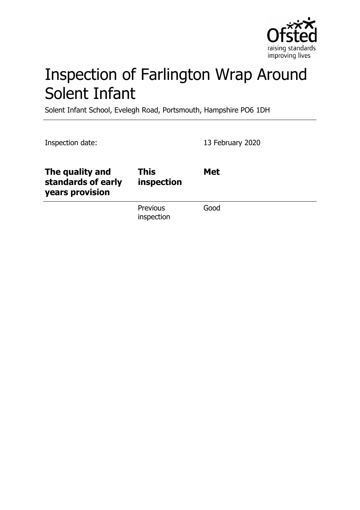

# Inspection of Farlington Wrap Around Solent Infant

Solent Infant School, Evelegh Road, Portsmouth, Hampshire PO6 1DH

| Inspection date:                                         |                           | 13 February 2020 |
|----------------------------------------------------------|---------------------------|------------------|
| The quality and<br>standards of early<br>years provision | <b>This</b><br>inspection | <b>Met</b>       |
|                                                          | Previous<br>inspection    | Good             |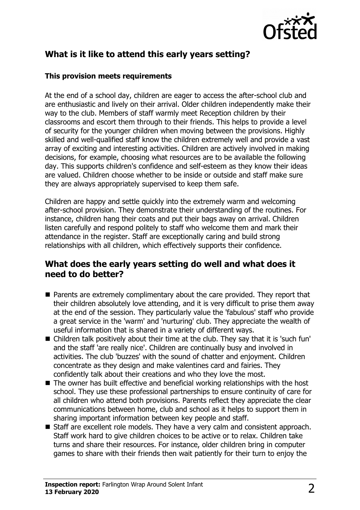

# **What is it like to attend this early years setting?**

#### **This provision meets requirements**

At the end of a school day, children are eager to access the after-school club and are enthusiastic and lively on their arrival. Older children independently make their way to the club. Members of staff warmly meet Reception children by their classrooms and escort them through to their friends. This helps to provide a level of security for the younger children when moving between the provisions. Highly skilled and well-qualified staff know the children extremely well and provide a vast array of exciting and interesting activities. Children are actively involved in making decisions, for example, choosing what resources are to be available the following day. This supports children's confidence and self-esteem as they know their ideas are valued. Children choose whether to be inside or outside and staff make sure they are always appropriately supervised to keep them safe.

Children are happy and settle quickly into the extremely warm and welcoming after-school provision. They demonstrate their understanding of the routines. For instance, children hang their coats and put their bags away on arrival. Children listen carefully and respond politely to staff who welcome them and mark their attendance in the register. Staff are exceptionally caring and build strong relationships with all children, which effectively supports their confidence.

#### **What does the early years setting do well and what does it need to do better?**

- $\blacksquare$  Parents are extremely complimentary about the care provided. They report that their children absolutely love attending, and it is very difficult to prise them away at the end of the session. They particularly value the 'fabulous' staff who provide a great service in the 'warm' and 'nurturing' club. They appreciate the wealth of useful information that is shared in a variety of different ways.
- Children talk positively about their time at the club. They say that it is 'such fun' and the staff 'are really nice'. Children are continually busy and involved in activities. The club 'buzzes' with the sound of chatter and enjoyment. Children concentrate as they design and make valentines card and fairies. They confidently talk about their creations and who they love the most.
- $\blacksquare$  The owner has built effective and beneficial working relationships with the host school. They use these professional partnerships to ensure continuity of care for all children who attend both provisions. Parents reflect they appreciate the clear communications between home, club and school as it helps to support them in sharing important information between key people and staff.
- Staff are excellent role models. They have a very calm and consistent approach. Staff work hard to give children choices to be active or to relax. Children take turns and share their resources. For instance, older children bring in computer games to share with their friends then wait patiently for their turn to enjoy the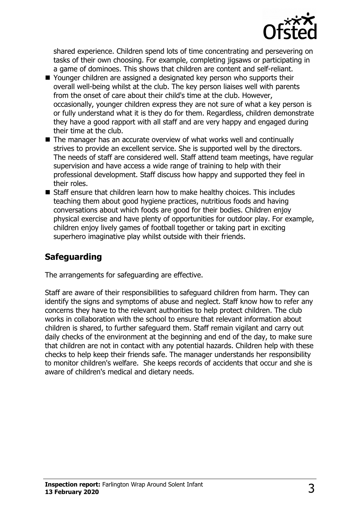

shared experience. Children spend lots of time concentrating and persevering on tasks of their own choosing. For example, completing jigsaws or participating in a game of dominoes. This shows that children are content and self-reliant.

- Younger children are assigned a designated key person who supports their overall well-being whilst at the club. The key person liaises well with parents from the onset of care about their child's time at the club. However, occasionally, younger children express they are not sure of what a key person is or fully understand what it is they do for them. Regardless, children demonstrate they have a good rapport with all staff and are very happy and engaged during their time at the club.
- $\blacksquare$  The manager has an accurate overview of what works well and continually strives to provide an excellent service. She is supported well by the directors. The needs of staff are considered well. Staff attend team meetings, have regular supervision and have access a wide range of training to help with their professional development. Staff discuss how happy and supported they feel in their roles.
- $\blacksquare$  Staff ensure that children learn how to make healthy choices. This includes teaching them about good hygiene practices, nutritious foods and having conversations about which foods are good for their bodies. Children enjoy physical exercise and have plenty of opportunities for outdoor play. For example, children enjoy lively games of football together or taking part in exciting superhero imaginative play whilst outside with their friends.

# **Safeguarding**

The arrangements for safeguarding are effective.

Staff are aware of their responsibilities to safeguard children from harm. They can identify the signs and symptoms of abuse and neglect. Staff know how to refer any concerns they have to the relevant authorities to help protect children. The club works in collaboration with the school to ensure that relevant information about children is shared, to further safeguard them. Staff remain vigilant and carry out daily checks of the environment at the beginning and end of the day, to make sure that children are not in contact with any potential hazards. Children help with these checks to help keep their friends safe. The manager understands her responsibility to monitor children's welfare. She keeps records of accidents that occur and she is aware of children's medical and dietary needs.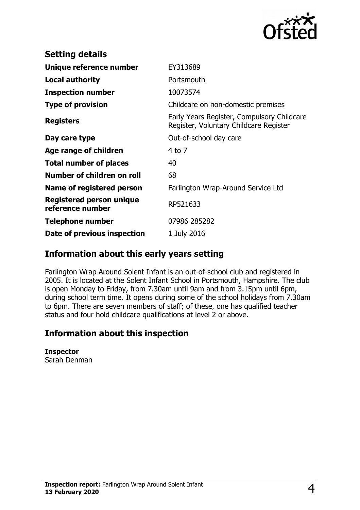

| <b>Setting details</b>                       |                                                                                      |
|----------------------------------------------|--------------------------------------------------------------------------------------|
| Unique reference number                      | EY313689                                                                             |
| <b>Local authority</b>                       | Portsmouth                                                                           |
| <b>Inspection number</b>                     | 10073574                                                                             |
| <b>Type of provision</b>                     | Childcare on non-domestic premises                                                   |
| <b>Registers</b>                             | Early Years Register, Compulsory Childcare<br>Register, Voluntary Childcare Register |
| Day care type                                | Out-of-school day care                                                               |
| Age range of children                        | $4$ to $7$                                                                           |
| <b>Total number of places</b>                | 40                                                                                   |
| Number of children on roll                   | 68                                                                                   |
| Name of registered person                    | Farlington Wrap-Around Service Ltd                                                   |
| Registered person unique<br>reference number | RP521633                                                                             |
| <b>Telephone number</b>                      | 07986 285282                                                                         |
| Date of previous inspection                  | 1 July 2016                                                                          |

### **Information about this early years setting**

Farlington Wrap Around Solent Infant is an out-of-school club and registered in 2005. It is located at the Solent Infant School in Portsmouth, Hampshire. The club is open Monday to Friday, from 7.30am until 9am and from 3.15pm until 6pm, during school term time. It opens during some of the school holidays from 7.30am to 6pm. There are seven members of staff; of these, one has qualified teacher status and four hold childcare qualifications at level 2 or above.

## **Information about this inspection**

#### **Inspector**

Sarah Denman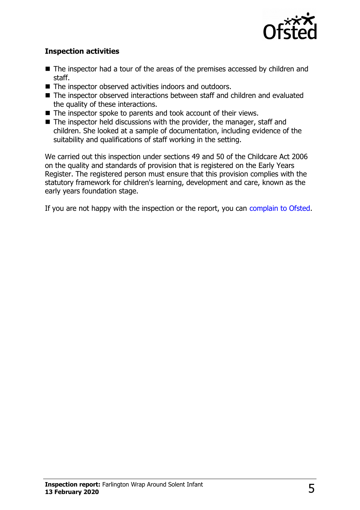

#### **Inspection activities**

- $\blacksquare$  The inspector had a tour of the areas of the premises accessed by children and staff.
- The inspector observed activities indoors and outdoors.
- The inspector observed interactions between staff and children and evaluated the quality of these interactions.
- $\blacksquare$  The inspector spoke to parents and took account of their views.
- $\blacksquare$  The inspector held discussions with the provider, the manager, staff and children. She looked at a sample of documentation, including evidence of the suitability and qualifications of staff working in the setting.

We carried out this inspection under sections 49 and 50 of the Childcare Act 2006 on the quality and standards of provision that is registered on the Early Years Register. The registered person must ensure that this provision complies with the statutory framework for children's learning, development and care, known as the early years foundation stage.

If you are not happy with the inspection or the report, you can [complain to Ofsted.](http://www.gov.uk/complain-ofsted-report)